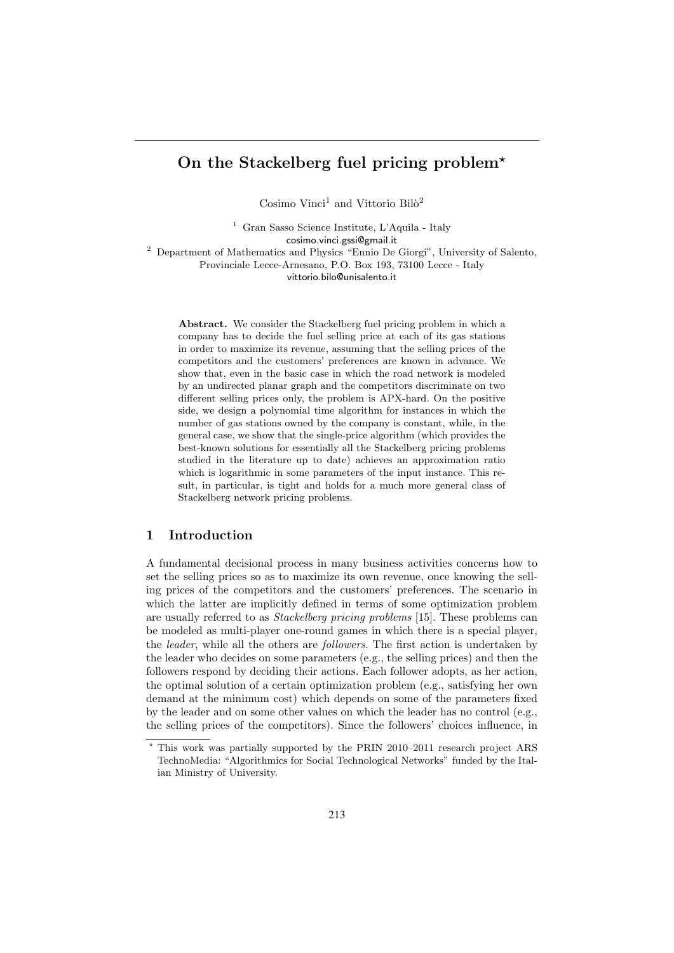# On the Stackelberg fuel pricing problem<sup>\*</sup>

Cosimo Vinci<sup>1</sup> and Vittorio Bilò<sup>2</sup>

<sup>1</sup> Gran Sasso Science Institute, L'Aquila - Italy cosimo.vinci.gssi@gmail.it <sup>2</sup> Department of Mathematics and Physics "Ennio De Giorgi", University of Salento,

Provinciale Lecce-Arnesano, P.O. Box 193, 73100 Lecce - Italy vittorio.bilo@unisalento.it

Abstract. We consider the Stackelberg fuel pricing problem in which a company has to decide the fuel selling price at each of its gas stations in order to maximize its revenue, assuming that the selling prices of the competitors and the customers' preferences are known in advance. We show that, even in the basic case in which the road network is modeled by an undirected planar graph and the competitors discriminate on two different selling prices only, the problem is APX-hard. On the positive side, we design a polynomial time algorithm for instances in which the number of gas stations owned by the company is constant, while, in the general case, we show that the single-price algorithm (which provides the best-known solutions for essentially all the Stackelberg pricing problems studied in the literature up to date) achieves an approximation ratio which is logarithmic in some parameters of the input instance. This result, in particular, is tight and holds for a much more general class of Stackelberg network pricing problems.

# 1 Introduction

A fundamental decisional process in many business activities concerns how to set the selling prices so as to maximize its own revenue, once knowing the selling prices of the competitors and the customers' preferences. The scenario in which the latter are implicitly defined in terms of some optimization problem are usually referred to as Stackelberg pricing problems [15]. These problems can be modeled as multi-player one-round games in which there is a special player, the leader, while all the others are followers. The first action is undertaken by the leader who decides on some parameters (e.g., the selling prices) and then the followers respond by deciding their actions. Each follower adopts, as her action, the optimal solution of a certain optimization problem (e.g., satisfying her own demand at the minimum cost) which depends on some of the parameters fixed by the leader and on some other values on which the leader has no control (e.g., the selling prices of the competitors). Since the followers' choices influence, in

<sup>?</sup> This work was partially supported by the PRIN 2010–2011 research project ARS TechnoMedia: "Algorithmics for Social Technological Networks" funded by the Italian Ministry of University.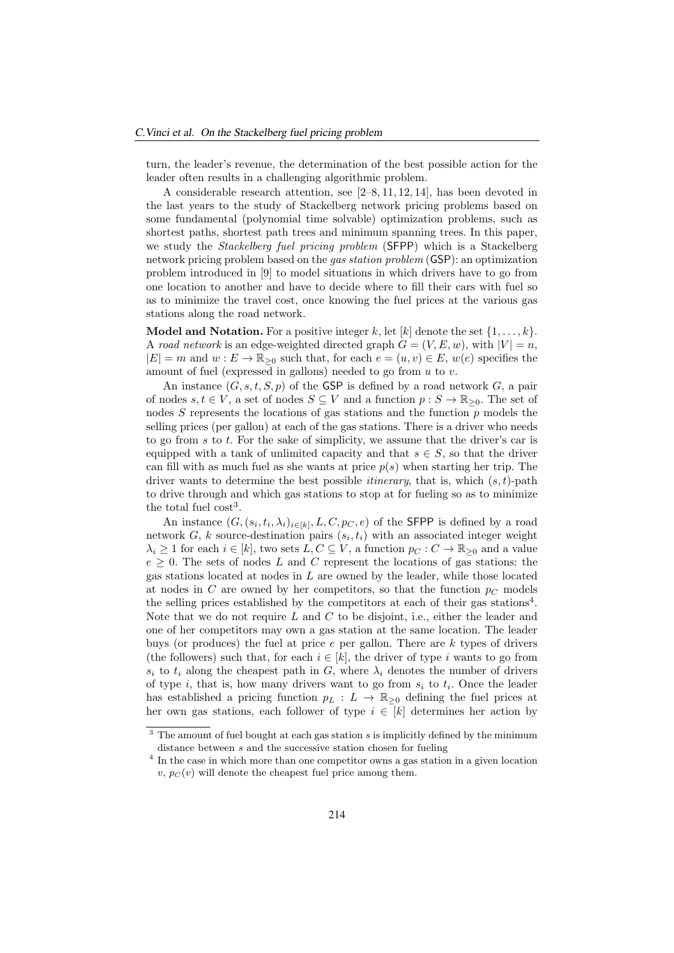turn, the leader's revenue, the determination of the best possible action for the leader often results in a challenging algorithmic problem.

A considerable research attention, see [2–8, 11, 12, 14], has been devoted in the last years to the study of Stackelberg network pricing problems based on some fundamental (polynomial time solvable) optimization problems, such as shortest paths, shortest path trees and minimum spanning trees. In this paper, we study the Stackelberg fuel pricing problem (SFPP) which is a Stackelberg network pricing problem based on the gas station problem (GSP): an optimization problem introduced in [9] to model situations in which drivers have to go from one location to another and have to decide where to fill their cars with fuel so as to minimize the travel cost, once knowing the fuel prices at the various gas stations along the road network.

**Model and Notation.** For a positive integer k, let [k] denote the set  $\{1, \ldots, k\}$ . A road network is an edge-weighted directed graph  $G = (V, E, w)$ , with  $|V| = n$ ,  $|E| = m$  and  $w : E \to \mathbb{R}_{\geq 0}$  such that, for each  $e = (u, v) \in E$ ,  $w(e)$  specifies the amount of fuel (expressed in gallons) needed to go from  $u$  to  $v$ .

An instance  $(G, s, t, S, p)$  of the GSP is defined by a road network  $G$ , a pair of nodes  $s, t \in V$ , a set of nodes  $S \subseteq V$  and a function  $p : S \to \mathbb{R}_{\geq 0}$ . The set of nodes  $S$  represents the locations of gas stations and the function  $p$  models the selling prices (per gallon) at each of the gas stations. There is a driver who needs to go from  $s$  to  $t$ . For the sake of simplicity, we assume that the driver's car is equipped with a tank of unlimited capacity and that  $s \in S$ , so that the driver can fill with as much fuel as she wants at price  $p(s)$  when starting her trip. The driver wants to determine the best possible *itinerary*, that is, which  $(s, t)$ -path to drive through and which gas stations to stop at for fueling so as to minimize the total fuel  $\cos t^3$ .

An instance  $(G, (s_i, t_i, \lambda_i)_{i \in [k]}, L, C, p_C, e)$  of the SFPP is defined by a road network  $G, k$  source-destination pairs  $(s_i, t_i)$  with an associated integer weight  $\lambda_i \geq 1$  for each  $i \in [k]$ , two sets  $L, C \subseteq V$ , a function  $p_C : C \to \mathbb{R}_{\geq 0}$  and a value  $e \geq 0$ . The sets of nodes L and C represent the locations of gas stations: the gas stations located at nodes in L are owned by the leader, while those located at nodes in C are owned by her competitors, so that the function  $p<sub>C</sub>$  models the selling prices established by the competitors at each of their gas stations<sup>4</sup>. Note that we do not require  $L$  and  $C$  to be disjoint, i.e., either the leader and one of her competitors may own a gas station at the same location. The leader buys (or produces) the fuel at price  $e$  per gallon. There are  $k$  types of drivers (the followers) such that, for each  $i \in [k]$ , the driver of type i wants to go from  $s_i$  to  $t_i$  along the cheapest path in G, where  $\lambda_i$  denotes the number of drivers of type i, that is, how many drivers want to go from  $s_i$  to  $t_i$ . Once the leader has established a pricing function  $p_L : L \to \mathbb{R}_{\geq 0}$  defining the fuel prices at her own gas stations, each follower of type  $i \in [k]$  determines her action by

 $3$  The amount of fuel bought at each gas station  $s$  is implicitly defined by the minimum distance between  $s$  and the successive station chosen for fueling

<sup>&</sup>lt;sup>4</sup> In the case in which more than one competitor owns a gas station in a given location  $v, p<sub>C</sub>(v)$  will denote the cheapest fuel price among them.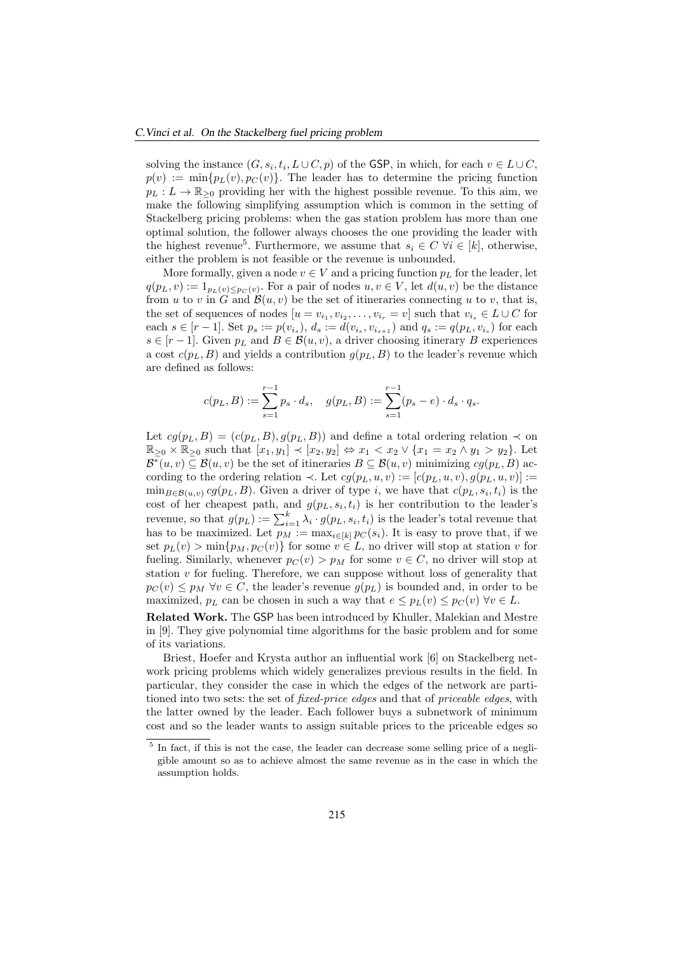solving the instance  $(G, s_i, t_i, L \cup C, p)$  of the GSP, in which, for each  $v \in L \cup C$ ,  $p(v) := \min\{p_L(v), p_C(v)\}\.$  The leader has to determine the pricing function  $p_L : L \to \mathbb{R}_{\geq 0}$  providing her with the highest possible revenue. To this aim, we make the following simplifying assumption which is common in the setting of Stackelberg pricing problems: when the gas station problem has more than one optimal solution, the follower always chooses the one providing the leader with the highest revenue<sup>5</sup>. Furthermore, we assume that  $s_i \in C$   $\forall i \in [k]$ , otherwise, either the problem is not feasible or the revenue is unbounded.

More formally, given a node  $v \in V$  and a pricing function  $p<sub>L</sub>$  for the leader, let  $q(p_L, v) := 1_{p_L(v) \leq p_C(v)}$ . For a pair of nodes  $u, v \in V$ , let  $d(u, v)$  be the distance from u to v in G and  $\mathcal{B}(u, v)$  be the set of itineraries connecting u to v, that is, the set of sequences of nodes  $[u = v_{i_1}, v_{i_2}, \dots, v_{i_r} = v]$  such that  $v_{i_s} \in L \cup C$  for each  $s \in [r-1]$ . Set  $p_s := p(v_{i_s}), d_s := d(v_{i_s}, v_{i_{s+1}})$  and  $q_s := q(p_L, v_{i_s})$  for each  $s \in [r-1]$ . Given  $p_L$  and  $B \in \mathcal{B}(u, v)$ , a driver choosing itinerary B experiences a cost  $c(p_L, B)$  and yields a contribution  $g(p_L, B)$  to the leader's revenue which are defined as follows:

$$
c(p_L, B) := \sum_{s=1}^{r-1} p_s \cdot d_s, \quad g(p_L, B) := \sum_{s=1}^{r-1} (p_s - e) \cdot d_s \cdot q_s.
$$

Let  $cg(p_L, B) = (c(p_L, B), g(p_L, B))$  and define a total ordering relation  $\prec$  on  $\mathbb{R}_{>0} \times \mathbb{R}_{>0}$  such that  $[x_1, y_1] \prec [x_2, y_2] \Leftrightarrow x_1 < x_2 \vee \{x_1 = x_2 \wedge y_1 > y_2\}$ . Let  $\mathcal{B}^*(u, v) \subseteq \mathcal{B}(u, v)$  be the set of itineraries  $B \subseteq \mathcal{B}(u, v)$  minimizing  $cg(p_L, B)$  according to the ordering relation  $\prec$ . Let  $cg(p_L, u, v) := [c(p_L, u, v), g(p_L, u, v)] :=$  $\min_{B \in \mathcal{B}(u,v)} cg(p_L, B)$ . Given a driver of type *i*, we have that  $c(p_L, s_i, t_i)$  is the cost of her cheapest path, and  $g(p_L, s_i, t_i)$  is her contribution to the leader's revenue, so that  $g(p_L) := \sum_{i=1}^k \lambda_i \cdot g(p_L, s_i, t_i)$  is the leader's total revenue that has to be maximized. Let  $p_M := \max_{i \in [k]} p_C(s_i)$ . It is easy to prove that, if we set  $p_L(v) > \min\{p_M, p_C(v)\}\$  for some  $v \in L$ , no driver will stop at station v for fueling. Similarly, whenever  $p_C(v) > p_M$  for some  $v \in C$ , no driver will stop at station  $v$  for fueling. Therefore, we can suppose without loss of generality that  $p_C (v) \leq p_M \ \forall v \in C$ , the leader's revenue  $g(p_L)$  is bounded and, in order to be maximized,  $p_L$  can be chosen in such a way that  $e \leq p_L(v) \leq p_C(v) \ \forall v \in L$ .

Related Work. The GSP has been introduced by Khuller, Malekian and Mestre in [9]. They give polynomial time algorithms for the basic problem and for some of its variations.

Briest, Hoefer and Krysta author an influential work [6] on Stackelberg network pricing problems which widely generalizes previous results in the field. In particular, they consider the case in which the edges of the network are partitioned into two sets: the set of fixed-price edges and that of priceable edges, with the latter owned by the leader. Each follower buys a subnetwork of minimum cost and so the leader wants to assign suitable prices to the priceable edges so

<sup>&</sup>lt;sup>5</sup> In fact, if this is not the case, the leader can decrease some selling price of a negligible amount so as to achieve almost the same revenue as in the case in which the assumption holds.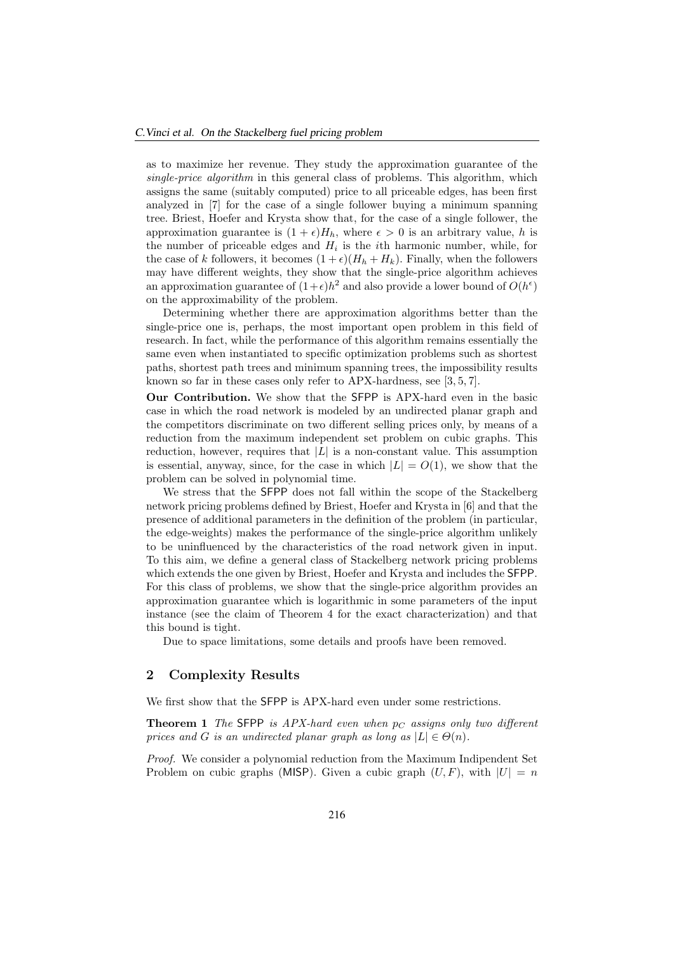as to maximize her revenue. They study the approximation guarantee of the single-price algorithm in this general class of problems. This algorithm, which assigns the same (suitably computed) price to all priceable edges, has been first analyzed in [7] for the case of a single follower buying a minimum spanning tree. Briest, Hoefer and Krysta show that, for the case of a single follower, the approximation guarantee is  $(1 + \epsilon)H_h$ , where  $\epsilon > 0$  is an arbitrary value, h is the number of priceable edges and  $H_i$  is the *i*th harmonic number, while, for the case of k followers, it becomes  $(1 + \epsilon)(H_h + H_k)$ . Finally, when the followers may have different weights, they show that the single-price algorithm achieves an approximation guarantee of  $(1+\epsilon)h^2$  and also provide a lower bound of  $O(h^{\epsilon})$ on the approximability of the problem.

Determining whether there are approximation algorithms better than the single-price one is, perhaps, the most important open problem in this field of research. In fact, while the performance of this algorithm remains essentially the same even when instantiated to specific optimization problems such as shortest paths, shortest path trees and minimum spanning trees, the impossibility results known so far in these cases only refer to APX-hardness, see [3, 5, 7].

Our Contribution. We show that the SFPP is APX-hard even in the basic case in which the road network is modeled by an undirected planar graph and the competitors discriminate on two different selling prices only, by means of a reduction from the maximum independent set problem on cubic graphs. This reduction, however, requires that  $|L|$  is a non-constant value. This assumption is essential, anyway, since, for the case in which  $|L| = O(1)$ , we show that the problem can be solved in polynomial time.

We stress that the SFPP does not fall within the scope of the Stackelberg network pricing problems defined by Briest, Hoefer and Krysta in [6] and that the presence of additional parameters in the definition of the problem (in particular, the edge-weights) makes the performance of the single-price algorithm unlikely to be uninfluenced by the characteristics of the road network given in input. To this aim, we define a general class of Stackelberg network pricing problems which extends the one given by Briest, Hoefer and Krysta and includes the SFPP. For this class of problems, we show that the single-price algorithm provides an approximation guarantee which is logarithmic in some parameters of the input instance (see the claim of Theorem 4 for the exact characterization) and that this bound is tight.

Due to space limitations, some details and proofs have been removed.

# 2 Complexity Results

We first show that the **SFPP** is APX-hard even under some restrictions.

**Theorem 1** The SFPP is APX-hard even when  $p_C$  assigns only two different prices and G is an undirected planar graph as long as  $|L| \in \Theta(n)$ .

Proof. We consider a polynomial reduction from the Maximum Indipendent Set Problem on cubic graphs (MISP). Given a cubic graph  $(U, F)$ , with  $|U| = n$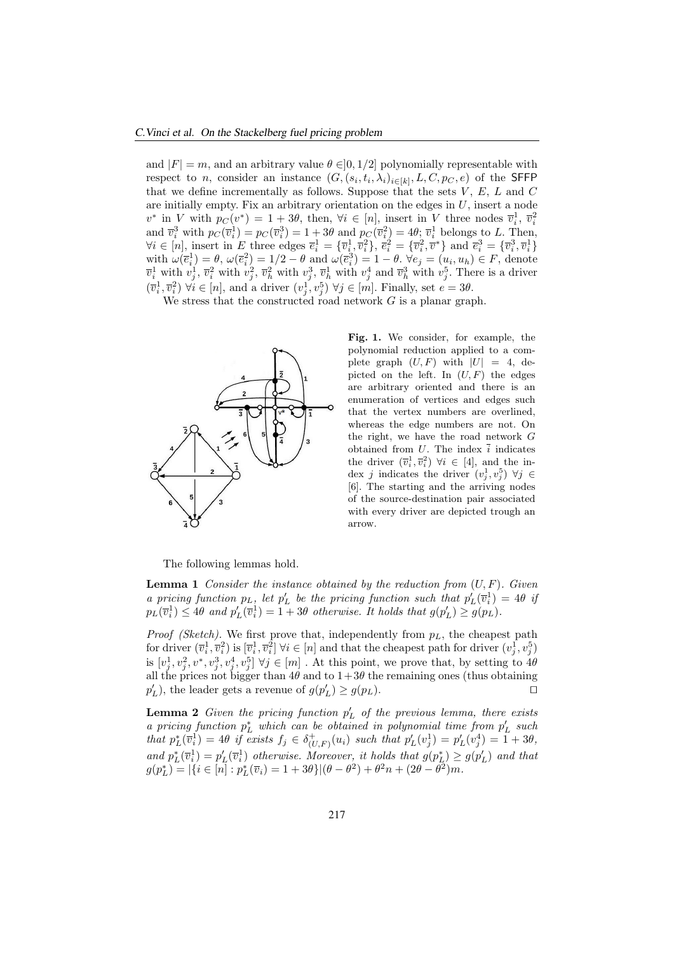and  $|F| = m$ , and an arbitrary value  $\theta \in ]0, 1/2]$  polynomially representable with respect to *n*, consider an instance  $(G, (s_i, t_i, \lambda_i)_{i \in [k]}, L, C, p_C, e)$  of the SFFP that we define incrementally as follows. Suppose that the sets  $V, E, L$  and  $C$ are initially empty. Fix an arbitrary orientation on the edges in  $U$ , insert a node  $v^*$  in V with  $p_C(v^*) = 1 + 3\theta$ , then,  $\forall i \in [n]$ , insert in V three nodes  $\overline{v}_i^1$ ,  $\overline{v}_i^2$ and  $\overline{v}_i^3$  with  $p_C(\overline{v}_i^1) = p_C(\overline{v}_i^3) = 1 + 3\theta$  and  $p_C(\overline{v}_i^2) = 4\theta$ ;  $\overline{v}_i^1$  belongs to L. Then, and  $v_i$  with  $p_C(v_i) - p_C(v_i) - 1 + 3\sigma$  and  $p_C(v_i) - 4\sigma$ ,  $v_i$  belongs to *L*. Then,<br>  $\forall i \in [n]$ , insert in *E* three edges  $\overline{e}_i^1 = {\overline{v}_i^1, \overline{v}_i^2}$ ,  $\overline{e}_i^2 = {\overline{v}_i^2, \overline{v}^*}$  and  $\overline{e}_i^3 = {\overline{v}_i^3, \overline{v}_i^1}$ with  $\omega(\bar{e}_i^1) = \theta$ ,  $\omega(\bar{e}_i^2) = 1/2 - \theta$  and  $\omega(\bar{e}_i^3) = 1 - \theta$ .  $\forall e_j = (u_i, u_k) \in F$ , denote  $\overline{v}_i^1$  with  $v_j^1$ ,  $\overline{v}_i^2$  with  $v_j^2$ ,  $\overline{v}_h^1$  with  $v_j^4$  and  $\overline{v}_h^3$  with  $v_j^5$ . There is a driver  $(\overline{v}_i^1, \overline{v}_i^2)$   $\forall i \in [n]$ , and a driver  $(v_j^1, v_j^5)$   $\forall j \in [m]$ . Finally, set  $e = 3\theta$ .

We stress that the constructed road network  $G$  is a planar graph.



Fig. 1. We consider, for example, the polynomial reduction applied to a complete graph  $(U, F)$  with  $|U| = 4$ , depicted on the left. In  $(U, F)$  the edges are arbitrary oriented and there is an enumeration of vertices and edges such that the vertex numbers are overlined, whereas the edge numbers are not. On the right, we have the road network G obtained from  $U$ . The index  $\overline{i}$  indicates the driver  $(\overline{v}_i^1, \overline{v}_i^2)$   $\forall i \in [4]$ , and the index j indicates the driver  $(v_j^1, v_j^5)$   $\forall j \in$ [6]. The starting and the arriving nodes of the source-destination pair associated with every driver are depicted trough an arrow.

The following lemmas hold.

**Lemma 1** Consider the instance obtained by the reduction from  $(U, F)$ . Given a pricing function  $p_L$ , let  $p'_L$  be the pricing function such that  $p'_L(\bar{v}_i^1) = 4\theta$  if  $p_L(\overline{v}_i^1) \leq 4\theta$  and  $p'_L(\overline{v}_i^1) = 1 + 3\theta$  otherwise. It holds that  $g(p'_L) \geq g(p_L)$ .

*Proof (Sketch)*. We first prove that, independently from  $p<sub>L</sub>$ , the cheapest path for driver  $(\overline{v}_i^1, \overline{v}_i^2)$  is  $[\overline{v}_i^1, \overline{v}_i^2]$   $\forall i \in [n]$  and that the cheapest path for driver  $(v_j^1, v_j^5)$ is  $[v_j^1, v_j^2, v^*, v_j^3, v_j^4, v_j^5]$   $\forall j \in [m]$ . At this point, we prove that, by setting to  $4\theta$ all the prices not bigger than  $4\theta$  and to  $1+3\theta$  the remaining ones (thus obtaining  $p'_L$ , the leader gets a revenue of  $g(p'_L) \ge g(p_L)$ .

**Lemma 2** Given the pricing function  $p'_L$  of the previous lemma, there exists a pricing function  $p_L^*$  which can be obtained in polynomial time from  $p'_L$  such that  $p_L^*(\overline{v}_i^1) = 4\theta$  if exists  $f_j \in \delta^+_{(U,F)}(u_i)$  such that  $p'_L(v_j^1) = p'_L(v_j^4) = 1 + 3\theta$ , and  $p_L^*(\bar{v}_i^1) = p'_L(\bar{v}_i^1)$  otherwise. Moreover, it holds that  $g(p_L^*) \ge g(p'_L)$  and that  $g(p_L^*) = |\{i \in [n] : p_L^*(\overline{v}_i) = 1 + 3\theta\}|(\theta - \theta^2) + \theta^2 n + (2\theta - \theta^2)m.$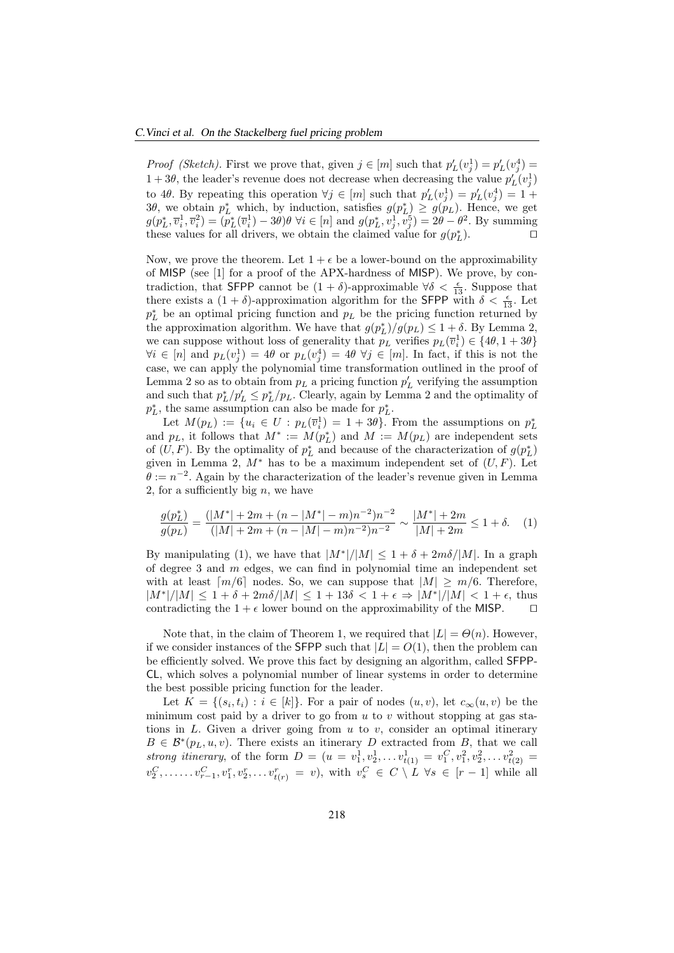*Proof (Sketch)*. First we prove that, given  $j \in [m]$  such that  $p'_L(v_j^1) = p'_L(v_j^4)$  $1+3\theta$ , the leader's revenue does not decrease when decreasing the value  $p'_L(v_j^1)$ to 4θ. By repeating this operation  $\forall j \in [m]$  such that  $p'_L(v_j^1) = p'_L(v_j^4) = 1 +$ 3θ, we obtain  $p_L^*$  which, by induction, satisfies  $g(p_L^*) \geq g(p_L)$ . Hence, we get  $g(p_L^*, \overline{v}_i^1, \overline{v}_i^2) = (p_L^*(\overline{v}_i^1) - 3\theta)\theta \,\forall i \in [n]$  and  $g(p_L^*, v_j^1, v_j^5) = 2\theta - \theta^2$ . By summing these values for all drivers, we obtain the claimed value for  $g(p_L^*)$  $\Box$ ).

Now, we prove the theorem. Let  $1 + \epsilon$  be a lower-bound on the approximability of MISP (see [1] for a proof of the APX-hardness of MISP). We prove, by contradiction, that SFPP cannot be  $(1 + \delta)$ -approximable  $\forall \delta < \frac{\epsilon}{13}$ . Suppose that there exists a  $(1 + \delta)$ -approximation algorithm for the **SFPP** with  $\delta < \frac{\epsilon}{13}$ . Let  $p_L^*$  be an optimal pricing function and  $p_L$  be the pricing function returned by the approximation algorithm. We have that  $g(p_L^*)/g(p_L) \leq 1+\delta$ . By Lemma 2, we can suppose without loss of generality that  $p_L$  verifies  $p_L(\overline{v}_i^1) \in \{4\theta, 1+3\theta\}$  $\forall i \in [n]$  and  $p_L(v_j^1) = 4\theta$  or  $p_L(v_j^4) = 4\theta \ \forall j \in [m]$ . In fact, if this is not the case, we can apply the polynomial time transformation outlined in the proof of Lemma 2 so as to obtain from  $p_L$  a pricing function  $p'_L$  verifying the assumption and such that  $p_L^*/p_L' \leq p_L^*/p_L$ . Clearly, again by Lemma 2 and the optimality of  $p_L^*$ , the same assumption can also be made for  $p_L^*$ .

Let  $M(p_L) := \{u_i \in U : p_L(\overline{v}_i^1) = 1 + 3\theta\}$ . From the assumptions on  $p_L^*$ and  $p<sub>L</sub>$ , it follows that  $M^* := M(p_L^*)$  and  $M := M(p_L)$  are independent sets of  $(U, F)$ . By the optimality of  $p_L^*$  and because of the characterization of  $g(p_L^*)$ given in Lemma 2,  $M^*$  has to be a maximum independent set of  $(U, F)$ . Let  $\theta := n^{-2}$ . Again by the characterization of the leader's revenue given in Lemma 2, for a sufficiently big  $n$ , we have

$$
\frac{g(p_L^*)}{g(p_L)} = \frac{(|M^*| + 2m + (n - |M^*| - m)n^{-2})n^{-2}}{(|M| + 2m + (n - |M| - m)n^{-2})n^{-2}} \sim \frac{|M^*| + 2m}{|M| + 2m} \le 1 + \delta. \tag{1}
$$

By manipulating (1), we have that  $|M^*|/|M| \leq 1 + \delta + 2m\delta/|M|$ . In a graph of degree 3 and  $m$  edges, we can find in polynomial time an independent set with at least  $\lceil m/6 \rceil$  nodes. So, we can suppose that  $|M| \ge m/6$ . Therefore,  $|M^*|/|M| \leq 1 + \delta + 2m\delta/|M| \leq 1 + 13\delta < 1 + \epsilon \Rightarrow |M^*|/|M| < 1 + \epsilon$ , thus contradicting the  $1 + \epsilon$  lower bound on the approximability of the MISP.  $\Box$ 

Note that, in the claim of Theorem 1, we required that  $|L| = \Theta(n)$ . However, if we consider instances of the SFPP such that  $|L| = O(1)$ , then the problem can be efficiently solved. We prove this fact by designing an algorithm, called SFPP-CL, which solves a polynomial number of linear systems in order to determine the best possible pricing function for the leader.

Let  $K = \{(s_i, t_i) : i \in [k]\}$ . For a pair of nodes  $(u, v)$ , let  $c_{\infty}(u, v)$  be the minimum cost paid by a driver to go from  $u$  to  $v$  without stopping at gas stations in  $L$ . Given a driver going from  $u$  to  $v$ , consider an optimal itinerary  $B \in \mathcal{B}^*(p_L, u, v)$ . There exists an itinerary D extracted from B, that we call strong itinerary, of the form  $D = (u = v_1^1, v_2^1, \ldots, v_{t(1)}^1 = v_1^C, v_1^2, v_2^2, \ldots, v_{t(2)}^2 =$  $v_2^C, \ldots, v_{r-1}^C, v_1^r, v_2^r, \ldots v_{t(r)}^r = v$ , with  $v_s^C \in C \setminus L \ \forall s \in [r-1]$  while all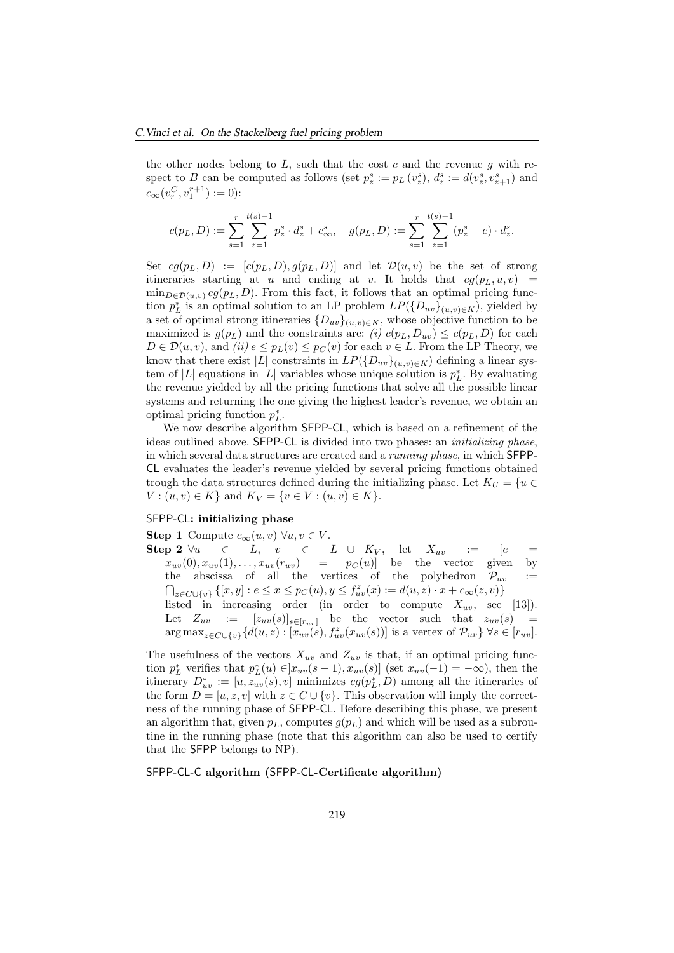the other nodes belong to  $L$ , such that the cost c and the revenue g with respect to B can be computed as follows (set  $p_z^s := p_L(v_z^s), d_z^s := d(v_z^s, v_{z+1}^s)$  and  $c_{\infty}(v_r^C, v_1^{r+1}) := 0$ :

$$
c(p_L,D):=\sum_{s=1}^r\sum_{z=1}^{t(s)-1}p^s_z\cdot d^s_z+c^s_\infty,\quad g(p_L,D):=\sum_{s=1}^r\sum_{z=1}^{t(s)-1}(p^s_z-e)\cdot d^s_z.
$$

Set  $cg(p_L, D) := [c(p_L, D), g(p_L, D)]$  and let  $\mathcal{D}(u, v)$  be the set of strong itineraries starting at u and ending at v. It holds that  $cg(p_L, u, v)$  =  $\min_{D \in \mathcal{D}(u,v)} cg(p_L, D)$ . From this fact, it follows that an optimal pricing function  $p_L^*$  is an optimal solution to an LP problem  $LP(\{D_{uv}\}_{(u,v)\in K})$ , yielded by a set of optimal strong itineraries  $\{D_{uv}\}_{(u,v)\in K}$ , whose objective function to be maximized is  $g(p_L)$  and the constraints are: (i)  $c(p_L, D_{uv}) \leq c(p_L, D)$  for each  $D \in \mathcal{D}(u, v)$ , and  $(ii)$   $e \leq p_L(v) \leq p_C(v)$  for each  $v \in L$ . From the LP Theory, we know that there exist |L| constraints in  $LP(\{D_{uv}\}_{(u,v)\in K})$  defining a linear system of |L| equations in |L| variables whose unique solution is  $p_L^*$ . By evaluating the revenue yielded by all the pricing functions that solve all the possible linear systems and returning the one giving the highest leader's revenue, we obtain an optimal pricing function  $p_L^*$ .

We now describe algorithm SFPP-CL, which is based on a refinement of the ideas outlined above. SFPP-CL is divided into two phases: an initializing phase, in which several data structures are created and a running phase, in which SFPP-CL evaluates the leader's revenue yielded by several pricing functions obtained trough the data structures defined during the initializing phase. Let  $K_U = \{u \in$  $V: (u, v) \in K$  and  $K_V = \{v \in V: (u, v) \in K\}.$ 

#### SFPP-CL: initializing phase

Step 1 Compute  $c_{\infty}(u, v) \forall u, v \in V$ .<br>Step 2  $\forall u \in L$ ,  $v \in I$ . Step 2 ∀u ∈ L, v ∈ L ∪ K<sup>V</sup> , let Xuv := [e =  $x_{uv}(0), x_{uv}(1), \ldots, x_{uv}(r_{uv}) = p_C(u)$  be the vector given by the abscissa of all the vertices of the polyhedron  $\mathcal{P}_{uv} := \bigcap_{x \in C(u)} \{ [x, y] : e \leq x \leq p_C(u), y \leq f_{xx}^x(x) := d(u, z) \cdot x + c_{\infty}(z, v) \}$  $z \in C \cup \{v\}$   $\{[x, y] : e \le x \le p_C(u), y \le f_{uv}^z(x) := d(u, z) \cdot x + c_{\infty}(z, v)\}$ listed in increasing order (in order to compute  $X_{uv}$ , see [13]). Let  $Z_{uv} := [z_{uv}(s)]_{s \in [r_{uv}]}$  be the vector such that  $z_{uv}(s) =$  $\arg \max_{z \in C \cup \{v\}} \{d(u, z) : [x_{uv}(s), f_{uv}^z(x_{uv}(s))]$  is a vertex of  $\mathcal{P}_{uv}\}\ \forall s \in [r_{uv}]$ .

The usefulness of the vectors  $X_{uv}$  and  $Z_{uv}$  is that, if an optimal pricing function  $p_L^*$  verifies that  $p_L^*(u) \in ]x_{uv}(s-1), x_{uv}(s)]$  (set  $x_{uv}(-1) = -\infty$ ), then the itinerary  $D^*_{uv} := [u, z_{uv}(s), v]$  minimizes  $cg(p^*_{L}, D)$  among all the itineraries of the form  $D = [u, z, v]$  with  $z \in C \cup \{v\}$ . This observation will imply the correctness of the running phase of SFPP-CL. Before describing this phase, we present an algorithm that, given  $p_L$ , computes  $g(p_L)$  and which will be used as a subroutine in the running phase (note that this algorithm can also be used to certify that the SFPP belongs to NP).

SFPP-CL-C algorithm (SFPP-CL-Certificate algorithm)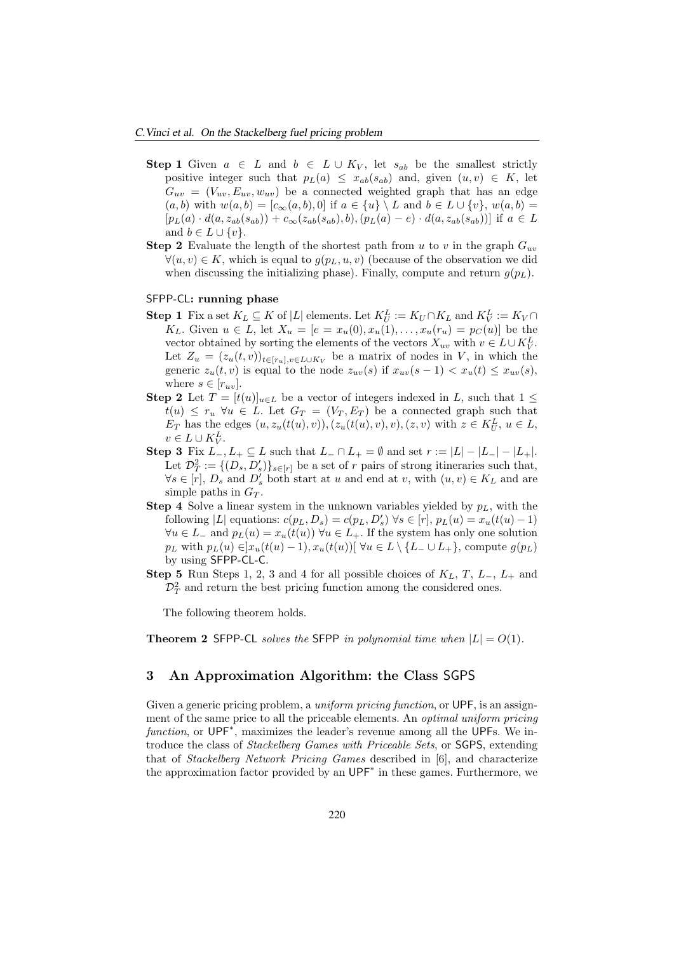- Step 1 Given  $a \in L$  and  $b \in L \cup K_V$ , let  $s_{ab}$  be the smallest strictly positive integer such that  $p_L(a) \leq x_{ab}(s_{ab})$  and, given  $(u, v) \in K$ , let  $G_{uv} = (V_{uv}, E_{uv}, w_{uv})$  be a connected weighted graph that has an edge  $(a, b)$  with  $w(a, b) = [c_{\infty}(a, b), 0]$  if  $a \in \{u\} \setminus L$  and  $b \in L \cup \{v\}, w(a, b) =$  $[p_L(a) \cdot d(a, z_{ab}(s_{ab})) + c_{\infty}(z_{ab}(s_{ab}), b), (p_L(a) - e) \cdot d(a, z_{ab}(s_{ab}))]$  if  $a \in L$ and  $b \in L \cup \{v\}.$
- **Step 2** Evaluate the length of the shortest path from u to v in the graph  $G_{uv}$  $\forall (u, v) \in K$ , which is equal to  $g(p_L, u, v)$  (because of the observation we did when discussing the initializing phase). Finally, compute and return  $g(p_L)$ .

#### SFPP-CL: running phase

- **Step 1** Fix a set  $K_L \subseteq K$  of |L| elements. Let  $K_U^L := K_U \cap K_L$  and  $K_V^L := K_V \cap K_V$ K<sub>L</sub>. Given  $u \in L$ , let  $X_u = [e = x_u(0), x_u(1), \ldots, x_u(r_u) = p_C(u)]$  be the vector obtained by sorting the elements of the vectors  $X_{uv}$  with  $v \in L \cup K_V^L$ . Let  $Z_u = (z_u(t, v))_{t \in [r_u], v \in L \cup K_V}$  be a matrix of nodes in V, in which the generic  $z_u(t, v)$  is equal to the node  $z_{uv}(s)$  if  $x_{uv}(s - 1) < x_u(t) \le x_{uv}(s)$ , where  $s \in [r_{uv}]$ .
- **Step 2** Let  $T = [t(u)]_{u \in L}$  be a vector of integers indexed in L, such that  $1 \leq$  $t(u) \leq r_u \ \forall u \in L$ . Let  $G_T = (V_T, E_T)$  be a connected graph such that  $E_T$  has the edges  $(u, z_u(t(u), v)), (z_u(t(u), v), v), (z, v)$  with  $z \in K_U^L$ ,  $u \in L$ ,  $v \in L \cup K_V^L$ .
- Step 3 Fix  $L_-, L_+ \subseteq L$  such that  $L_-\cap L_+ = \emptyset$  and set  $r := |L|-|L_-|-|L_+|$ . Let  $\mathcal{D}_T^2 := \{(D_s, D'_s)\}_{s \in [r]}$  be a set of r pairs of strong itineraries such that,  $\forall s \in [r], D_s$  and  $D'_s$  both start at u and end at v, with  $(u, v) \in K_L$  and are simple paths in  $G_T$ .
- **Step 4** Solve a linear system in the unknown variables yielded by  $p<sub>L</sub>$ , with the following |L| equations:  $c(p_L, D_s) = c(p_L, D'_s) \forall s \in [r]$ ,  $p_L(u) = x_u(t(u) - 1)$  $\forall u \in L_{-}$  and  $p_L(u) = x_u(t(u)) \ \forall u \in L_{+}$ . If the system has only one solution  $p_L$  with  $p_L(u) \in ]x_u(t(u)-1), x_u(t(u))[ \forall u \in L \setminus \{L_-\cup L_+\},$  compute  $g(p_L)$ by using SFPP-CL-C.
- Step 5 Run Steps 1, 2, 3 and 4 for all possible choices of  $K_L$ , T,  $L_-, L_+$  and  $\mathcal{D}_T^2$  and return the best pricing function among the considered ones.

The following theorem holds.

**Theorem 2 SFPP-CL** solves the SFPP in polynomial time when  $|L| = O(1)$ .

## 3 An Approximation Algorithm: the Class SGPS

Given a generic pricing problem, a *uniform pricing function*, or UPF, is an assignment of the same price to all the priceable elements. An optimal uniform pricing function, or UPF<sup>\*</sup>, maximizes the leader's revenue among all the UPFs. We introduce the class of Stackelberg Games with Priceable Sets, or SGPS, extending that of Stackelberg Network Pricing Games described in [6], and characterize the approximation factor provided by an UPF<sup>∗</sup> in these games. Furthermore, we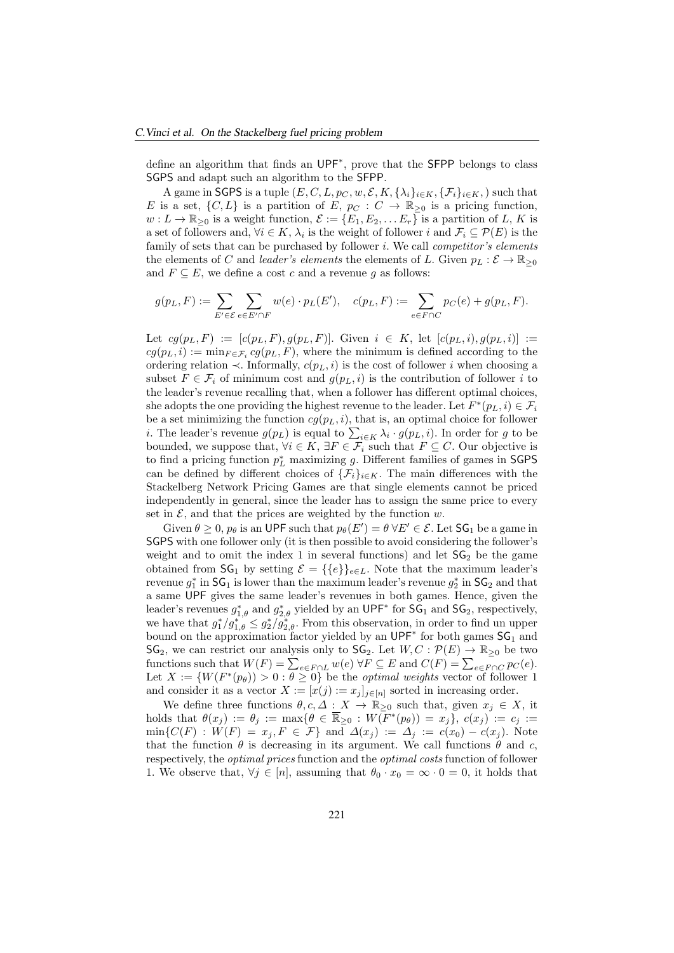define an algorithm that finds an UPF<sup>∗</sup> , prove that the SFPP belongs to class SGPS and adapt such an algorithm to the SFPP.

A game in SGPS is a tuple  $(E, C, L, p_C, w, \mathcal{E}, K, {\{\lambda_i\}_{i\in K}, {\{\mathcal{F}_i\}_{i\in K}, \}}$  such that E is a set,  $\{C, L\}$  is a partition of E,  $p_C : C \to \mathbb{R}_{\geq 0}$  is a pricing function,  $w: L \to \mathbb{R}_{\geq 0}$  is a weight function,  $\mathcal{E} := \{E_1, E_2, \dots E_r\}$  is a partition of L, K is a set of followers and,  $\forall i \in K$ ,  $\lambda_i$  is the weight of follower i and  $\mathcal{F}_i \subseteq \mathcal{P}(E)$  is the family of sets that can be purchased by follower  $i$ . We call *competitor's elements* the elements of C and leader's elements the elements of L. Given  $p_L : \mathcal{E} \to \mathbb{R}_{\geq 0}$ and  $F \subseteq E$ , we define a cost c and a revenue q as follows:

$$
g(p_L, F) := \sum_{E' \in \mathcal{E}} \sum_{e \in E' \cap F} w(e) \cdot p_L(E'), \quad c(p_L, F) := \sum_{e \in F \cap C} p_C(e) + g(p_L, F).
$$

Let  $cg(p_L, F) := [c(p_L, F), g(p_L, F)]$ . Given  $i \in K$ , let  $[c(p_L, i), g(p_L, i)] :=$  $cg(p_L, i) := \min_{F \in \mathcal{F}_i} cg(p_L, F)$ , where the minimum is defined according to the ordering relation ≺. Informally,  $c(p_L, i)$  is the cost of follower  $i$  when choosing a subset  $F \in \mathcal{F}_i$  of minimum cost and  $g(p_L, i)$  is the contribution of follower i to the leader's revenue recalling that, when a follower has different optimal choices, she adopts the one providing the highest revenue to the leader. Let  $F^*(p_L, i) \in \mathcal{F}_i$ be a set minimizing the function  $cg(p_L, i)$ , that is, an optimal choice for follower *i*. The leader's revenue  $g(p_L)$  is equal to  $\sum_{i \in K} \lambda_i \cdot g(p_L, i)$ . In order for g to be bounded, we suppose that,  $\forall i \in K$ ,  $\exists F \in \mathcal{F}_i$  such that  $F \subseteq C$ . Our objective is to find a pricing function  $p<sub>L</sub><sup>*</sup>$  maximizing g. Different families of games in SGPS can be defined by different choices of  $\{\mathcal{F}_i\}_{i\in K}$ . The main differences with the Stackelberg Network Pricing Games are that single elements cannot be priced independently in general, since the leader has to assign the same price to every set in  $\mathcal{E}$ , and that the prices are weighted by the function w.

Given  $\theta \ge 0$ ,  $p_\theta$  is an UPF such that  $p_\theta(E') = \theta \,\forall E' \in \mathcal{E}$ . Let  $\mathsf{SG}_1$  be a game in SGPS with one follower only (it is then possible to avoid considering the follower's weight and to omit the index 1 in several functions) and let  $SG_2$  be the game obtained from  $\mathsf{SG}_1$  by setting  $\mathcal{E} = \{\{e\}\}_{e \in L}$ . Note that the maximum leader's revenue  $g_1^*$  in  $\mathsf{SG}_1$  is lower than the maximum leader's revenue  $g_2^*$  in  $\mathsf{SG}_2$  and that a same UPF gives the same leader's revenues in both games. Hence, given the leader's revenues  $g_{1,\theta}^*$  and  $g_{2,\theta}^*$  yielded by an UPF<sup>\*</sup> for  $\mathsf{SG}_1$  and  $\mathsf{SG}_2$ , respectively, we have that  $g_1^*/g_{1,\theta}^* \leq g_2^*/g_{2,\theta}^*$ . From this observation, in order to find un upper bound on the approximation factor yielded by an  $UPF^*$  for both games  $SG_1$  and  $\mathsf{SG}_2$ , we can restrict our analysis only to  $\mathsf{SG}_2$ . Let  $W, C : \mathcal{P}(E) \to \mathbb{R}_{\geq 0}$  be two functions such that  $W(F) = \sum_{e \in F \cap L} w(e) \,\forall F \subseteq E$  and  $C(F) = \sum_{e \in F \cap C} p_C(e)$ . Let  $X := \{W(F^*(p_\theta)) > 0 : \theta \geq 0\}$  be the *optimal weights* vector of follower 1 and consider it as a vector  $X := [x(j) := x_j]_{j \in [n]}$  sorted in increasing order.

We define three functions  $\theta, c, \Delta: X \to \mathbb{R}_{\geq 0}$  such that, given  $x_j \in X$ , it holds that  $\theta(x_j) := \theta_j := \max\{\theta \in \mathbb{R}_{\geq 0} : W(F^*(p_\theta)) = x_j\}, c(x_j) := c_j :=$  $\min\{C(F) : W(F) = x_j, F \in \mathcal{F}\}\$ and  $\Delta(x_j) := \Delta_j := c(x_0) - c(x_j)$ . Note that the function  $\theta$  is decreasing in its argument. We call functions  $\theta$  and c, respectively, the optimal prices function and the optimal costs function of follower 1. We observe that,  $\forall j \in [n]$ , assuming that  $\theta_0 \cdot x_0 = \infty \cdot 0 = 0$ , it holds that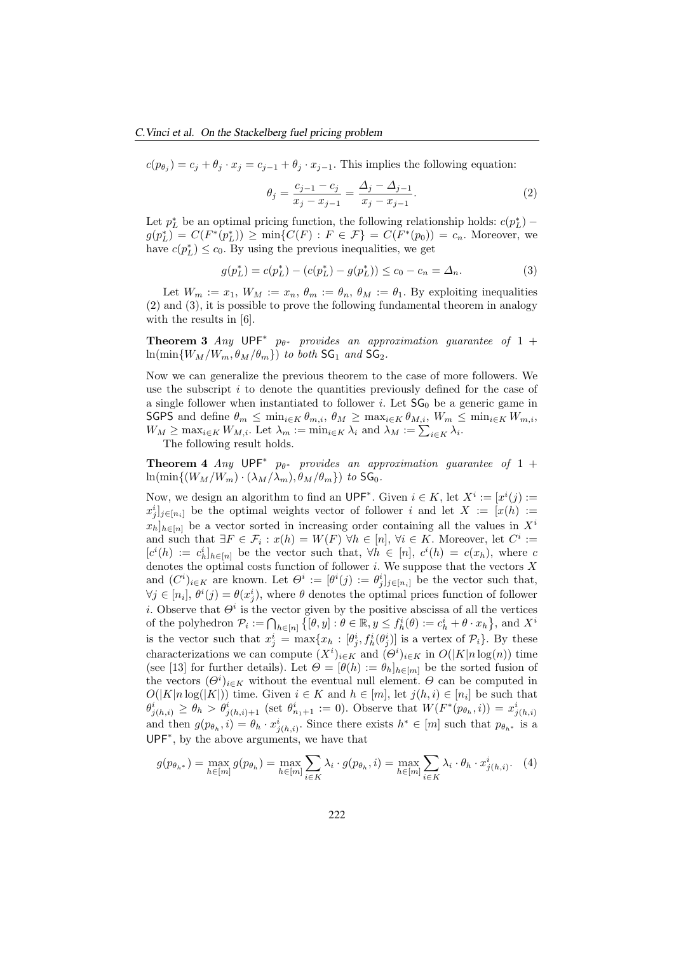$c(p_{\theta_j}) = c_j + \theta_j \cdot x_j = c_{j-1} + \theta_j \cdot x_{j-1}$ . This implies the following equation:

$$
\theta_j = \frac{c_{j-1} - c_j}{x_j - x_{j-1}} = \frac{\Delta_j - \Delta_{j-1}}{x_j - x_{j-1}}.
$$
\n(2)

Let  $p_L^*$  be an optimal pricing function, the following relationship holds:  $c(p_L^*)$  –  $g(p_L^*) = C(F^*(p_L^*)) \ge \min\{C(F) : F \in \mathcal{F}\} = C(F^*(p_0)) = c_n$ . Moreover, we have  $c(p_L^*) \leq c_0$ . By using the previous inequalities, we get

$$
g(p_L^*) = c(p_L^*) - (c(p_L^*) - g(p_L^*)) \le c_0 - c_n = \Delta_n.
$$
 (3)

Let  $W_m := x_1, W_M := x_n, \theta_m := \theta_n, \theta_M := \theta_1$ . By exploiting inequalities (2) and (3), it is possible to prove the following fundamental theorem in analogy with the results in [6].

**Theorem 3** Any  $\mathsf{UPF}^*$   $p_{\theta^*}$  provides an approximation guarantee of 1 +  $\ln(\min\{W_M/W_m, \theta_M/\theta_m\})$  to both  $\mathsf{SG}_1$  and  $\mathsf{SG}_2$ .

Now we can generalize the previous theorem to the case of more followers. We use the subscript  $i$  to denote the quantities previously defined for the case of a single follower when instantiated to follower i. Let  $SG_0$  be a generic game in SGPS and define  $\theta_m \leq \min_{i \in K} \theta_{m,i}, \theta_M \geq \max_{i \in K} \theta_{M,i}, W_m \leq \min_{i \in K} W_{m,i}$  $W_M \ge \max_{i \in K} W_{M,i}$ . Let  $\lambda_m := \min_{i \in K} \lambda_i$  and  $\lambda_M := \sum_{i \in K} \lambda_i$ .

The following result holds.

**Theorem 4** Any  $UPF^*$   $p_{\theta^*}$  provides an approximation guarantee of 1 +  $\ln(\min\{(W_M/W_m)\cdot(\lambda_M/\lambda_m),\theta_M/\theta_m\})$  to  $\text{SG}_0$ .

Now, we design an algorithm to find an  $\mathsf{UPF}^*$ . Given  $i \in K$ , let  $X^i := [x^i(j) :=$  $x_j^i]_{j \in [n_i]}$  be the optimal weights vector of follower i and let  $X := [x(h) :=$  $x_h|_{h\in[n]}$  be a vector sorted in increasing order containing all the values in  $X^i$ and such that  $\exists F \in \mathcal{F}_i : x(h) = W(F) \,\forall h \in [n], \,\forall i \in K$ . Moreover, let  $C^i :=$  $[c<sup>i</sup>(h) := c<sub>h</sub><sup>i</sup>]_{h \in [n]}$  be the vector such that,  $\forall h \in [n], c<sup>i</sup>(h) = c(x_h)$ , where c denotes the optimal costs function of follower  $i$ . We suppose that the vectors  $X$ and  $(C^i)_{i \in K}$  are known. Let  $\Theta^i := [\theta^i(j) := \theta^i_j]_{j \in [n_i]}$  be the vector such that,  $\forall j \in [n_i], \theta^i(j) = \theta(x_j^i)$ , where  $\theta$  denotes the optimal prices function of follower i. Observe that  $\Theta^i$  is the vector given by the positive abscissa of all the vertices of the polyhedron  $\mathcal{P}_i := \bigcap_{h \in [n]} \left\{ [\theta, y] : \theta \in \mathbb{R}, y \leq f_h^i(\theta) := c_h^i + \theta \cdot x_h \right\}$ , and  $X^i$ is the vector such that  $x_j^i = \max\{x_h : [\theta_j^i, f_h^i(\theta_j^i)]\}$  is a vertex of  $\mathcal{P}_i$ . By these characterizations we can compute  $(X^i)_{i \in K}$  and  $(\Theta^i)_{i \in K}$  in  $O(|K|n \log(n))$  time (see [13] for further details). Let  $\Theta = [\theta(h) := \theta_h]_{h \in [m]}$  be the sorted fusion of the vectors  $(\Theta^i)_{i \in K}$  without the eventual null element.  $\Theta$  can be computed in  $O(|K|n \log(|K|))$  time. Given  $i \in K$  and  $h \in [m]$ , let  $j(h, i) \in [n_i]$  be such that  $\theta^i_{j(h,i)} \geq \theta_h > \theta^i_{j(h,i)+1}$  (set  $\theta^i_{n_1+1} := 0$ ). Observe that  $W(F^*(p_{\theta_h}, i)) = x^i_{j(h,i)}$ and then  $g(p_{\theta_h}, i) = \theta_h \cdot x_{j(h,i)}^i$ . Since there exists  $h^* \in [m]$  such that  $p_{\theta_{h^*}}$  is a UPF<sup>∗</sup> , by the above arguments, we have that

$$
g(p_{\theta_{h^*}}) = \max_{h \in [m]} g(p_{\theta_h}) = \max_{h \in [m]} \sum_{i \in K} \lambda_i \cdot g(p_{\theta_h}, i) = \max_{h \in [m]} \sum_{i \in K} \lambda_i \cdot \theta_h \cdot x_{j(h, i)}^i.
$$
 (4)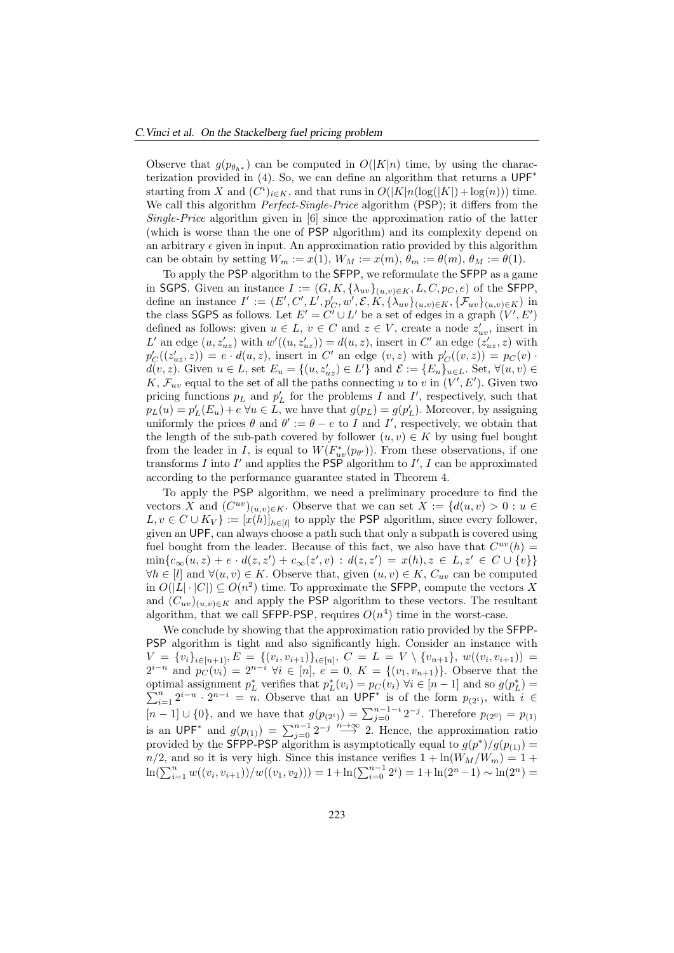Observe that  $g(p_{\theta_{k*}})$  can be computed in  $O(|K|n)$  time, by using the characterization provided in (4). So, we can define an algorithm that returns a UPF<sup>∗</sup> starting from X and  $(C^i)_{i \in K}$ , and that runs in  $O(|K|n(\log(|K|) + \log(n)))$  time. We call this algorithm *Perfect-Single-Price* algorithm (PSP); it differs from the Single-Price algorithm given in [6] since the approximation ratio of the latter (which is worse than the one of PSP algorithm) and its complexity depend on an arbitrary  $\epsilon$  given in input. An approximation ratio provided by this algorithm can be obtain by setting  $W_m := x(1), W_M := x(m), \theta_m := \theta(m), \theta_M := \theta(1).$ 

To apply the PSP algorithm to the SFPP, we reformulate the SFPP as a game in SGPS. Given an instance  $I := (G, K, \{\lambda_{uv}\}_{(u,v)\in K}, L, C, p_C, e)$  of the SFPP, define an instance  $I' := (E', C', L', p'_{C}, w', \mathcal{E}, K, \{\lambda_{uv}\}_{(u,v)\in K}, \{\mathcal{F}_{uv}\}_{(u,v)\in K})$  in the class SGPS as follows. Let  $E' = C' \cup L'$  be a set of edges in a graph  $(V', E')$ defined as follows: given  $u \in L$ ,  $v \in C$  and  $z \in V$ , create a node  $z'_{uv}$ , insert in L' an edge  $(u, z'_{uz})$  with  $w'((u, z'_{uz})) = d(u, z)$ , insert in C' an edge  $(z'_{uz}, z)$  with  $p'_C((z'_{uz}, z)) = e \cdot d(u, z)$ , insert in C' an edge  $(v, z)$  with  $p'_C((v, z)) = p_C(v)$ .  $d(v, z)$ . Given  $u \in L$ , set  $E_u = \{(u, z'_{uz}) \in L'\}$  and  $\mathcal{E} := \{E_u\}_{u \in L}$ . Set,  $\forall (u, v) \in L'\}$ K,  $\mathcal{F}_{uv}$  equal to the set of all the paths connecting u to v in  $(V', E')$ . Given two pricing functions  $p_L$  and  $p'_L$  for the problems I and I', respectively, such that  $p_L(u) = p'_L(E_u) + e \ \forall u \in L$ , we have that  $g(p_L) = g(p'_L)$ . Moreover, by assigning uniformly the prices  $\theta$  and  $\theta' := \theta - e$  to I and I', respectively, we obtain that the length of the sub-path covered by follower  $(u, v) \in K$  by using fuel bought from the leader in I, is equal to  $W(F_{uv}^*(p_{\theta'}))$ . From these observations, if one transforms I into I' and applies the PSP algorithm to I', I can be approximated according to the performance guarantee stated in Theorem 4.

To apply the PSP algorithm, we need a preliminary procedure to find the vectors X and  $(C^{uv})_{(u,v)\in K}$ . Observe that we can set  $X := \{d(u,v) > 0 : u \in$  $L, v \in C \cup K_V$  :=  $[x(h)]_{h \in [l]}$  to apply the PSP algorithm, since every follower, given an UPF, can always choose a path such that only a subpath is covered using fuel bought from the leader. Because of this fact, we also have that  $C^{uv}(h)$  =  $\min\{c_{\infty}(u,z)+e\cdot d(z,z')+c_{\infty}(z',v) \,:\, d(z,z')\,=\,x(h), z\,\in\, L, z'\,\in\, C\cup\{v\}\}\,$  $\forall h \in [l]$  and  $\forall (u, v) \in K$ . Observe that, given  $(u, v) \in K$ ,  $C_{uv}$  can be computed in  $O(|L| \cdot |C|) \subseteq O(n^2)$  time. To approximate the SFPP, compute the vectors X and  $(C_{uv})_{(u,v)\in K}$  and apply the PSP algorithm to these vectors. The resultant algorithm, that we call SFPP-PSP, requires  $O(n^4)$  time in the worst-case.

We conclude by showing that the approximation ratio provided by the SFPP-PSP algorithm is tight and also significantly high. Consider an instance with  $V = \{v_i\}_{i \in [n+1]}, E = \{(v_i, v_{i+1})\}_{i \in [n]}, C = L = V \setminus \{v_{n+1}\}, w((v_i, v_{i+1})) =$  $2^{i-n}$  and  $p_C(v_i) = 2^{n-i} \forall i \in [n], e = 0, K = \{(v_1, v_{n+1})\}.$  Observe that the optimal assignment  $p_L^*$  verifies that  $p_L^*(v_i) = p_C(v_i)$   $\forall i \in [n-1]$  and so  $g(p_L^*) =$  $\sum_{i=1}^{n} 2^{i-n} \cdot 2^{n-i} = n$ . Observe that an UPF<sup>\*</sup> is of the form  $p_{(2^i)}$ , with  $i \in$ [n − 1] ∪ {0}, and we have that  $g(p_{(2<sup>i</sup>)}) = \sum_{j=0}^{n-1-i} 2^{-j}$ . Therefore  $p_{(2<sup>0</sup>)} = p_{(1)}$ is an UPF<sup>\*</sup> and  $g(p_{(1)}) = \sum_{j=0}^{n-1} 2^{-j} \stackrel{n \to \infty}{\longrightarrow} 2$ . Hence, the approximation ratio provided by the **SFPP-PSP** algorithm is asymptotically equal to  $g(p^*)/g(p_{(1)}) =$  $n/2$ , and so it is very high. Since this instance verifies  $1 + \ln(W_M/W_m) = 1 +$  $\ln(\sum_{i=1}^n w((v_i, v_{i+1}))/w((v_1, v_2))) = 1 + \ln(\sum_{i=0}^{n-1} 2^i) = 1 + \ln(2^n - 1) \sim \ln(2^n) =$